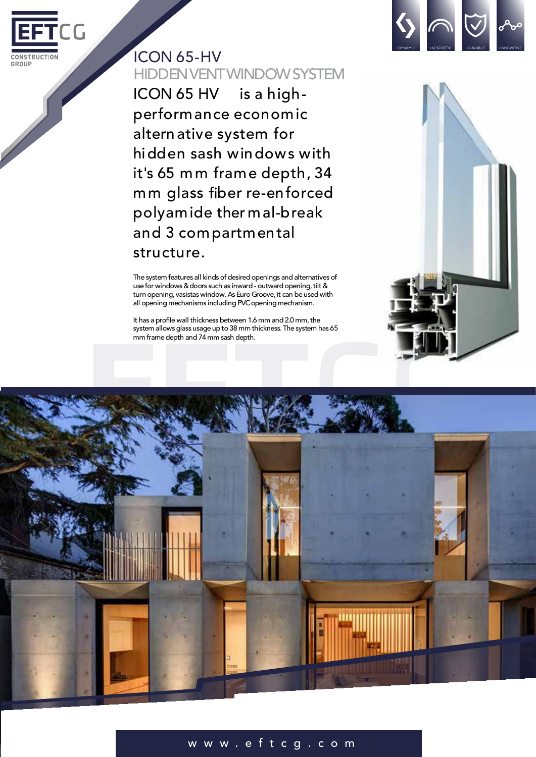

## ICON 65-HV HIDDENVENTWINDOWSYSTEM

ICON 65 HV is a highperformance economic altern ative system for hidden sash windows with it's 65 mm frame depth, 34 mm glass fiber re-enforced polyamide ther mal-break and 3 compartmental structure.

The system features all kinds of desired openings and alternatives of use for windows & doors such as inward - outward opening, tilt & turn opening, vasistas window. As Euro Groove, it can be used with all opening mechanisms including PVC opening mechanism.

It has a profile wall thickness between 1.6 mm and 2.0 mm, the system allows glass usage up to 38 mm thickness. The system has 65 mm frame depth and 74 mm sash depth.





## w w w . e f t c g .co m